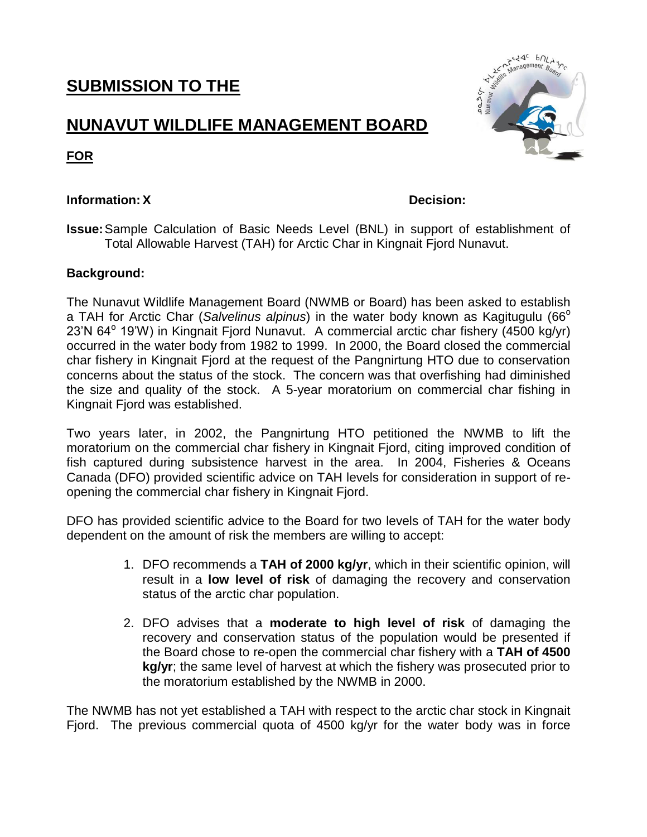# **SUBMISSION TO THE**

# **NUNAVUT WILDLIFE MANAGEMENT BOARD**



**FOR**

## **Information:X Decision:**

**Issue:**Sample Calculation of Basic Needs Level (BNL) in support of establishment of Total Allowable Harvest (TAH) for Arctic Char in Kingnait Fjord Nunavut.

## **Background:**

The Nunavut Wildlife Management Board (NWMB or Board) has been asked to establish a TAH for Arctic Char (Salvelinus alpinus) in the water body known as Kagitugulu (66<sup>o</sup> 23'N 64° 19'W) in Kingnait Fjord Nunavut. A commercial arctic char fishery (4500 kg/yr) occurred in the water body from 1982 to 1999. In 2000, the Board closed the commercial char fishery in Kingnait Fjord at the request of the Pangnirtung HTO due to conservation concerns about the status of the stock. The concern was that overfishing had diminished the size and quality of the stock. A 5-year moratorium on commercial char fishing in Kingnait Fjord was established.

Two years later, in 2002, the Pangnirtung HTO petitioned the NWMB to lift the moratorium on the commercial char fishery in Kingnait Fjord, citing improved condition of fish captured during subsistence harvest in the area. In 2004, Fisheries & Oceans Canada (DFO) provided scientific advice on TAH levels for consideration in support of reopening the commercial char fishery in Kingnait Fjord.

DFO has provided scientific advice to the Board for two levels of TAH for the water body dependent on the amount of risk the members are willing to accept:

- 1. DFO recommends a **TAH of 2000 kg/yr**, which in their scientific opinion, will result in a **low level of risk** of damaging the recovery and conservation status of the arctic char population.
- 2. DFO advises that a **moderate to high level of risk** of damaging the recovery and conservation status of the population would be presented if the Board chose to re-open the commercial char fishery with a **TAH of 4500 kg/yr**; the same level of harvest at which the fishery was prosecuted prior to the moratorium established by the NWMB in 2000.

The NWMB has not yet established a TAH with respect to the arctic char stock in Kingnait Fjord. The previous commercial quota of 4500 kg/yr for the water body was in force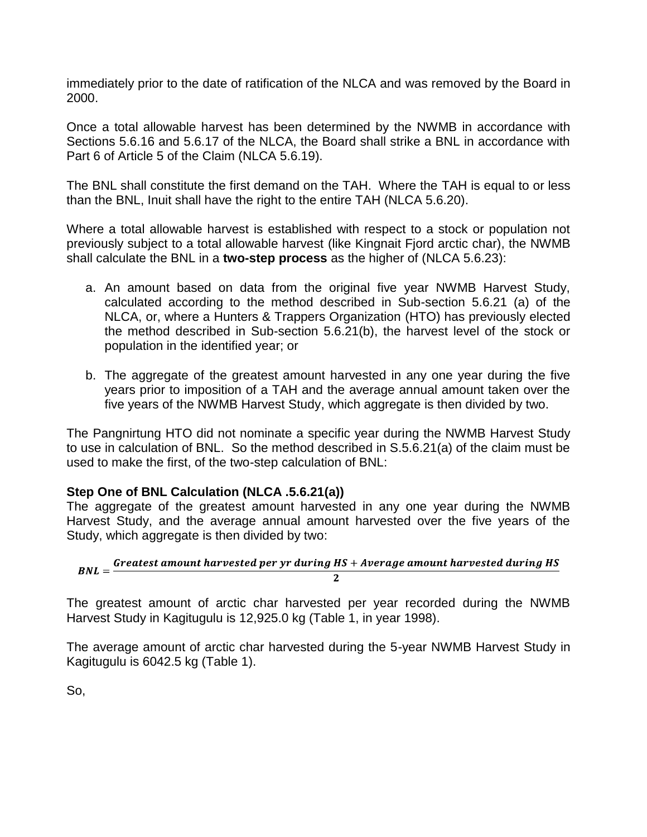immediately prior to the date of ratification of the NLCA and was removed by the Board in 2000.

Once a total allowable harvest has been determined by the NWMB in accordance with Sections 5.6.16 and 5.6.17 of the NLCA, the Board shall strike a BNL in accordance with Part 6 of Article 5 of the Claim (NLCA 5.6.19).

The BNL shall constitute the first demand on the TAH. Where the TAH is equal to or less than the BNL, Inuit shall have the right to the entire TAH (NLCA 5.6.20).

Where a total allowable harvest is established with respect to a stock or population not previously subject to a total allowable harvest (like Kingnait Fjord arctic char), the NWMB shall calculate the BNL in a **two-step process** as the higher of (NLCA 5.6.23):

- a. An amount based on data from the original five year NWMB Harvest Study, calculated according to the method described in Sub-section 5.6.21 (a) of the NLCA, or, where a Hunters & Trappers Organization (HTO) has previously elected the method described in Sub-section 5.6.21(b), the harvest level of the stock or population in the identified year; or
- b. The aggregate of the greatest amount harvested in any one year during the five years prior to imposition of a TAH and the average annual amount taken over the five years of the NWMB Harvest Study, which aggregate is then divided by two.

The Pangnirtung HTO did not nominate a specific year during the NWMB Harvest Study to use in calculation of BNL. So the method described in S.5.6.21(a) of the claim must be used to make the first, of the two-step calculation of BNL:

### **Step One of BNL Calculation (NLCA .5.6.21(a))**

The aggregate of the greatest amount harvested in any one year during the NWMB Harvest Study, and the average annual amount harvested over the five years of the Study, which aggregate is then divided by two:

$$
BNL = \frac{Greatest\ amount\ harvested\ per\ yr\ during\ HS + Average\ amount\ harvested\ during\ HS}{2}
$$

The greatest amount of arctic char harvested per year recorded during the NWMB Harvest Study in Kagitugulu is 12,925.0 kg (Table 1, in year 1998).

The average amount of arctic char harvested during the 5-year NWMB Harvest Study in Kagitugulu is 6042.5 kg (Table 1).

So,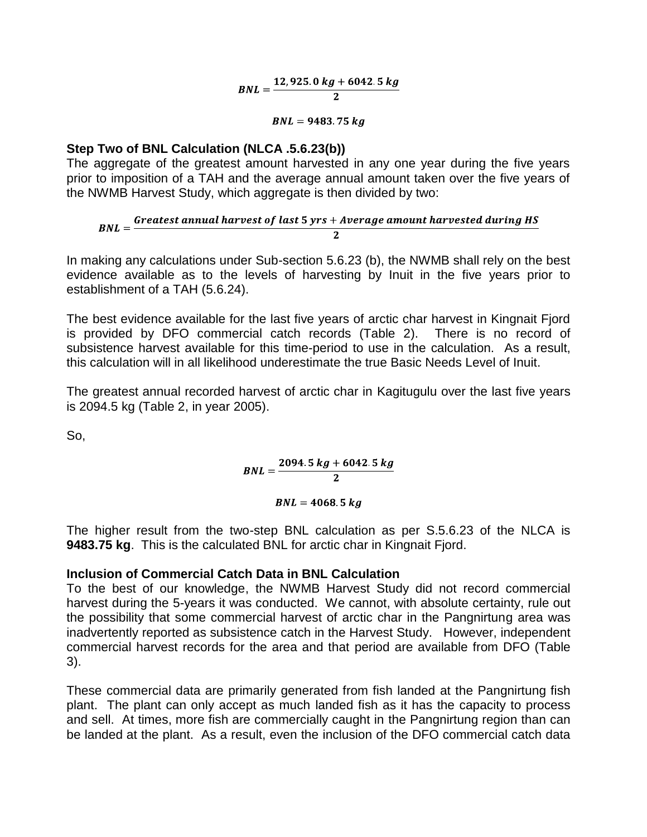$$
BNL = \frac{12,925.0 \ kg + 6042.5 \ kg}{2}
$$

$$
BNL=9483.75 kg
$$

#### **Step Two of BNL Calculation (NLCA .5.6.23(b))**

The aggregate of the greatest amount harvested in any one year during the five years prior to imposition of a TAH and the average annual amount taken over the five years of the NWMB Harvest Study, which aggregate is then divided by two:

 $BNL = \frac{Greatest annual\ harvest\ of\ last\ 5\ yrs + Average\ amount\ harvested\ during\ HS}$ 

In making any calculations under Sub-section 5.6.23 (b), the NWMB shall rely on the best evidence available as to the levels of harvesting by Inuit in the five years prior to establishment of a TAH (5.6.24).

The best evidence available for the last five years of arctic char harvest in Kingnait Fjord is provided by DFO commercial catch records (Table 2). There is no record of subsistence harvest available for this time-period to use in the calculation. As a result, this calculation will in all likelihood underestimate the true Basic Needs Level of Inuit.

The greatest annual recorded harvest of arctic char in Kagitugulu over the last five years is 2094.5 kg (Table 2, in year 2005).

So,

$$
BNL = \frac{2094.5 kg + 6042.5 kg}{2}
$$

$$
BNL = 4068.5 kg
$$

The higher result from the two-step BNL calculation as per S.5.6.23 of the NLCA is **9483.75 kg**. This is the calculated BNL for arctic char in Kingnait Fjord.

#### **Inclusion of Commercial Catch Data in BNL Calculation**

To the best of our knowledge, the NWMB Harvest Study did not record commercial harvest during the 5-years it was conducted. We cannot, with absolute certainty, rule out the possibility that some commercial harvest of arctic char in the Pangnirtung area was inadvertently reported as subsistence catch in the Harvest Study. However, independent commercial harvest records for the area and that period are available from DFO (Table 3).

These commercial data are primarily generated from fish landed at the Pangnirtung fish plant. The plant can only accept as much landed fish as it has the capacity to process and sell. At times, more fish are commercially caught in the Pangnirtung region than can be landed at the plant. As a result, even the inclusion of the DFO commercial catch data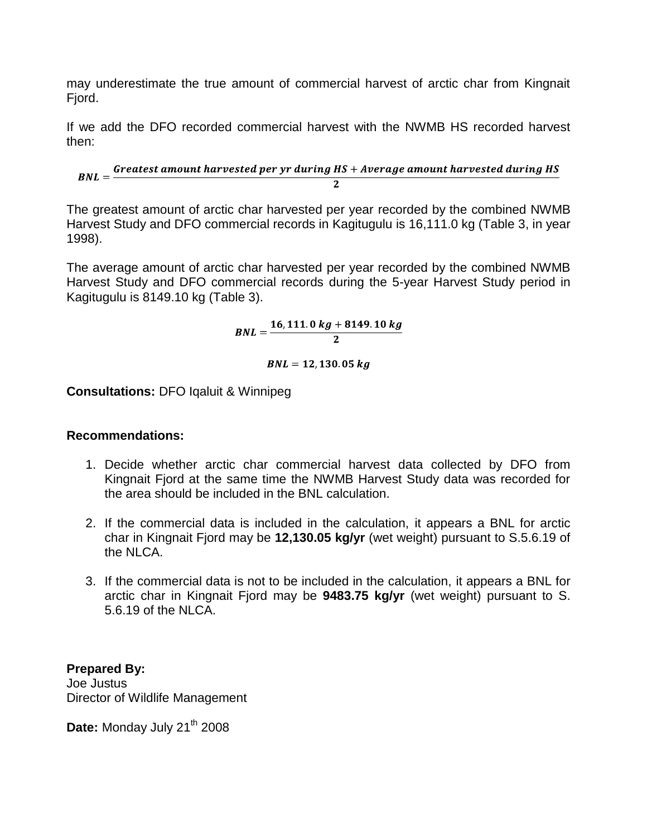may underestimate the true amount of commercial harvest of arctic char from Kingnait Fjord.

If we add the DFO recorded commercial harvest with the NWMB HS recorded harvest then:

 $BNL = \frac{Greatest\ amount\ harvested\ per\ yr\ during\ HS + Average\ amount\ harvested\ during\ HS}{F}$ 

The greatest amount of arctic char harvested per year recorded by the combined NWMB Harvest Study and DFO commercial records in Kagitugulu is 16,111.0 kg (Table 3, in year 1998).

The average amount of arctic char harvested per year recorded by the combined NWMB Harvest Study and DFO commercial records during the 5-year Harvest Study period in Kagitugulu is 8149.10 kg (Table 3).

 $BNL = \frac{16,111.0 kg + 8149.10 kg}{2}$ 

 $BNL = 12, 130, 05 kg$ 

**Consultations:** DFO Iqaluit & Winnipeg

#### **Recommendations:**

- 1. Decide whether arctic char commercial harvest data collected by DFO from Kingnait Fjord at the same time the NWMB Harvest Study data was recorded for the area should be included in the BNL calculation.
- 2. If the commercial data is included in the calculation, it appears a BNL for arctic char in Kingnait Fjord may be **12,130.05 kg/yr** (wet weight) pursuant to S.5.6.19 of the NLCA.
- 3. If the commercial data is not to be included in the calculation, it appears a BNL for arctic char in Kingnait Fjord may be **9483.75 kg/yr** (wet weight) pursuant to S. 5.6.19 of the NLCA.

**Prepared By:** Joe Justus Director of Wildlife Management

Date: Monday July 21<sup>th</sup> 2008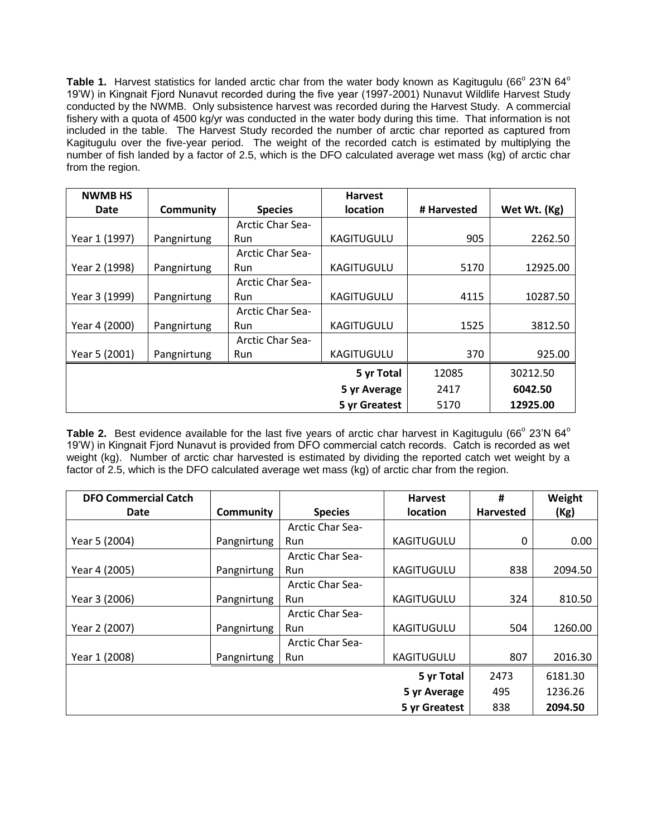Table 1. Harvest statistics for landed arctic char from the water body known as Kagitugulu (66<sup>°</sup> 23'N 64<sup>°</sup> 19'W) in Kingnait Fjord Nunavut recorded during the five year (1997-2001) Nunavut Wildlife Harvest Study conducted by the NWMB. Only subsistence harvest was recorded during the Harvest Study. A commercial fishery with a quota of 4500 kg/yr was conducted in the water body during this time. That information is not included in the table. The Harvest Study recorded the number of arctic char reported as captured from Kagitugulu over the five-year period. The weight of the recorded catch is estimated by multiplying the number of fish landed by a factor of 2.5, which is the DFO calculated average wet mass (kg) of arctic char from the region.

| <b>NWMB HS</b> |             |                         | <b>Harvest</b>    |             |              |
|----------------|-------------|-------------------------|-------------------|-------------|--------------|
| Date           | Community   | <b>Species</b>          | <b>location</b>   | # Harvested | Wet Wt. (Kg) |
|                |             | <b>Arctic Char Sea-</b> |                   |             |              |
| Year 1 (1997)  | Pangnirtung | Run                     | <b>KAGITUGULU</b> | 905         | 2262.50      |
|                |             | <b>Arctic Char Sea-</b> |                   |             |              |
| Year 2 (1998)  | Pangnirtung | Run                     | <b>KAGITUGULU</b> | 5170        | 12925.00     |
|                |             | <b>Arctic Char Sea-</b> |                   |             |              |
| Year 3 (1999)  | Pangnirtung | Run                     | KAGITUGULU        | 4115        | 10287.50     |
|                |             | <b>Arctic Char Sea-</b> |                   |             |              |
| Year 4 (2000)  | Pangnirtung | Run                     | KAGITUGULU        | 1525        | 3812.50      |
|                |             | <b>Arctic Char Sea-</b> |                   |             |              |
| Year 5 (2001)  | Pangnirtung | Run                     | <b>KAGITUGULU</b> | 370         | 925.00       |
|                |             |                         | 5 yr Total        | 12085       | 30212.50     |
|                |             |                         | 5 yr Average      | 2417        | 6042.50      |
|                |             |                         | 5 yr Greatest     | 5170        | 12925.00     |

Table 2. Best evidence available for the last five years of arctic char harvest in Kagitugulu (66<sup>°</sup> 23'N 64<sup>°</sup> 19'W) in Kingnait Fjord Nunavut is provided from DFO commercial catch records. Catch is recorded as wet weight (kg). Number of arctic char harvested is estimated by dividing the reported catch wet weight by a factor of 2.5, which is the DFO calculated average wet mass (kg) of arctic char from the region.

| <b>DFO Commercial Catch</b> |             |                         | <b>Harvest</b>    | #                | Weight  |
|-----------------------------|-------------|-------------------------|-------------------|------------------|---------|
| Date                        | Community   | <b>Species</b>          | <b>location</b>   | <b>Harvested</b> | (Kg)    |
|                             |             | <b>Arctic Char Sea-</b> |                   |                  |         |
| Year 5 (2004)               | Pangnirtung | Run                     | <b>KAGITUGULU</b> | 0                | 0.00    |
|                             |             | <b>Arctic Char Sea-</b> |                   |                  |         |
| Year 4 (2005)               | Pangnirtung | Run                     | <b>KAGITUGULU</b> | 838              | 2094.50 |
|                             |             | <b>Arctic Char Sea-</b> |                   |                  |         |
| Year 3 (2006)               | Pangnirtung | Run                     | KAGITUGULU        | 324              | 810.50  |
|                             |             | <b>Arctic Char Sea-</b> |                   |                  |         |
| Year 2 (2007)               | Pangnirtung | Run                     | <b>KAGITUGULU</b> | 504              | 1260.00 |
|                             |             | <b>Arctic Char Sea-</b> |                   |                  |         |
| Year 1 (2008)               | Pangnirtung | <b>Run</b>              | <b>KAGITUGULU</b> | 807              | 2016.30 |
|                             |             |                         | 5 yr Total        | 2473             | 6181.30 |
|                             |             |                         | 5 yr Average      | 495              | 1236.26 |
|                             |             |                         | 5 yr Greatest     | 838              | 2094.50 |